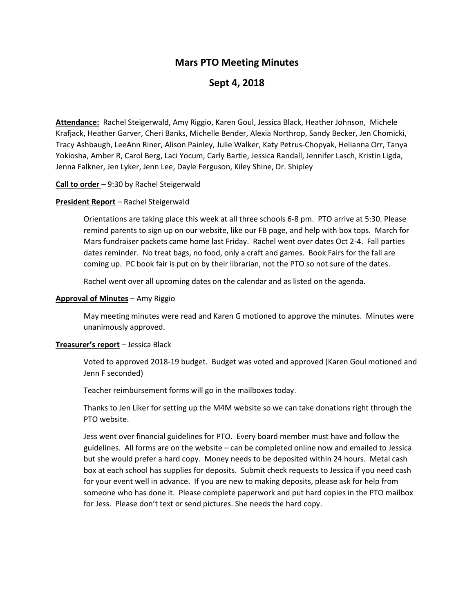# **Mars PTO Meeting Minutes**

# **Sept 4, 2018**

**Attendance:** Rachel Steigerwald, Amy Riggio, Karen Goul, Jessica Black, Heather Johnson, Michele Krafjack, Heather Garver, Cheri Banks, Michelle Bender, Alexia Northrop, Sandy Becker, Jen Chomicki, Tracy Ashbaugh, LeeAnn Riner, Alison Painley, Julie Walker, Katy Petrus-Chopyak, Helianna Orr, Tanya Yokiosha, Amber R, Carol Berg, Laci Yocum, Carly Bartle, Jessica Randall, Jennifer Lasch, Kristin Ligda, Jenna Falkner, Jen Lyker, Jenn Lee, Dayle Ferguson, Kiley Shine, Dr. Shipley

### **Call to order** – 9:30 by Rachel Steigerwald

# **President Report** – Rachel Steigerwald

Orientations are taking place this week at all three schools 6-8 pm. PTO arrive at 5:30. Please remind parents to sign up on our website, like our FB page, and help with box tops. March for Mars fundraiser packets came home last Friday. Rachel went over dates Oct 2-4. Fall parties dates reminder. No treat bags, no food, only a craft and games. Book Fairs for the fall are coming up. PC book fair is put on by their librarian, not the PTO so not sure of the dates.

Rachel went over all upcoming dates on the calendar and as listed on the agenda.

### **Approval of Minutes** – Amy Riggio

May meeting minutes were read and Karen G motioned to approve the minutes. Minutes were unanimously approved.

### **Treasurer's report** – Jessica Black

Voted to approved 2018-19 budget. Budget was voted and approved (Karen Goul motioned and Jenn F seconded)

Teacher reimbursement forms will go in the mailboxes today.

Thanks to Jen Liker for setting up the M4M website so we can take donations right through the PTO website.

Jess went over financial guidelines for PTO. Every board member must have and follow the guidelines. All forms are on the website – can be completed online now and emailed to Jessica but she would prefer a hard copy. Money needs to be deposited within 24 hours. Metal cash box at each school has supplies for deposits. Submit check requests to Jessica if you need cash for your event well in advance. If you are new to making deposits, please ask for help from someone who has done it. Please complete paperwork and put hard copies in the PTO mailbox for Jess. Please don't text or send pictures. She needs the hard copy.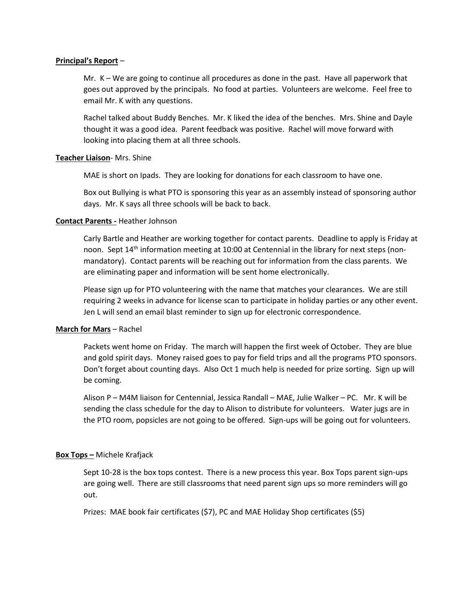### **Principal's Report** –

Mr. K – We are going to continue all procedures as done in the past. Have all paperwork that goes out approved by the principals. No food at parties. Volunteers are welcome. Feel free to email Mr. K with any questions.

Rachel talked about Buddy Benches. Mr. K liked the idea of the benches. Mrs. Shine and Dayle thought it was a good idea. Parent feedback was positive. Rachel will move forward with looking into placing them at all three schools.

# **Teacher Liaison**- Mrs. Shine

MAE is short on Ipads. They are looking for donations for each classroom to have one.

Box out Bullying is what PTO is sponsoring this year as an assembly instead of sponsoring author days. Mr. K says all three schools will be back to back.

# **Contact Parents -** Heather Johnson

Carly Bartle and Heather are working together for contact parents. Deadline to apply is Friday at noon. Sept 14<sup>th</sup> information meeting at 10:00 at Centennial in the library for next steps (nonmandatory). Contact parents will be reaching out for information from the class parents. We are eliminating paper and information will be sent home electronically.

Please sign up for PTO volunteering with the name that matches your clearances. We are still requiring 2 weeks in advance for license scan to participate in holiday parties or any other event. Jen L will send an email blast reminder to sign up for electronic correspondence.

# **March for Mars** – Rachel

Packets went home on Friday. The march will happen the first week of October. They are blue and gold spirit days. Money raised goes to pay for field trips and all the programs PTO sponsors. Don't forget about counting days. Also Oct 1 much help is needed for prize sorting. Sign up will be coming.

Alison P – M4M liaison for Centennial, Jessica Randall – MAE, Julie Walker – PC. Mr. K will be sending the class schedule for the day to Alison to distribute for volunteers. Water jugs are in the PTO room, popsicles are not going to be offered. Sign-ups will be going out for volunteers.

### **Box Tops –** Michele Krafjack

Sept 10-28 is the box tops contest. There is a new process this year. Box Tops parent sign-ups are going well. There are still classrooms that need parent sign ups so more reminders will go out.

Prizes: MAE book fair certificates (\$7), PC and MAE Holiday Shop certificates (\$5)